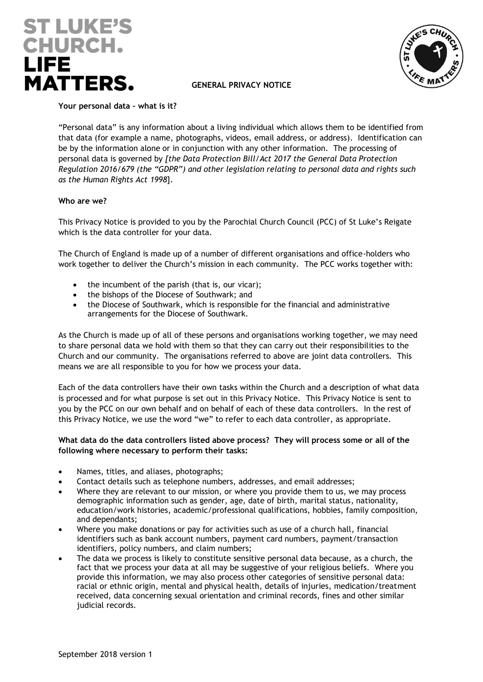



# **GENERAL PRIVACY NOTICE**

**Your personal data – what is it?**

"Personal data" is any information about a living individual which allows them to be identified from that data (for example a name, photographs, videos, email address, or address). Identification can be by the information alone or in conjunction with any other information. The processing of personal data is governed by *[the Data Protection Bill/Act 2017 the General Data Protection Regulation 2016/679 (the "GDPR") and other legislation relating to personal data and rights such as the Human Rights Act 1998*].

## **Who are we?**

This Privacy Notice is provided to you by the Parochial Church Council (PCC) of St Luke's Reigate which is the data controller for your data.

The Church of England is made up of a number of different organisations and office-holders who work together to deliver the Church's mission in each community. The PCC works together with:

- the incumbent of the parish (that is, our vicar);
- the bishops of the Diocese of Southwark; and
- the Diocese of Southwark, which is responsible for the financial and administrative arrangements for the Diocese of Southwark.

As the Church is made up of all of these persons and organisations working together, we may need to share personal data we hold with them so that they can carry out their responsibilities to the Church and our community. The organisations referred to above are joint data controllers. This means we are all responsible to you for how we process your data.

Each of the data controllers have their own tasks within the Church and a description of what data is processed and for what purpose is set out in this Privacy Notice. This Privacy Notice is sent to you by the PCC on our own behalf and on behalf of each of these data controllers. In the rest of this Privacy Notice, we use the word "we" to refer to each data controller, as appropriate.

## **What data do the data controllers listed above process? They will process some or all of the following where necessary to perform their tasks:**

- Names, titles, and aliases, photographs;
- Contact details such as telephone numbers, addresses, and email addresses;
- Where they are relevant to our mission, or where you provide them to us, we may process demographic information such as gender, age, date of birth, marital status, nationality, education/work histories, academic/professional qualifications, hobbies, family composition, and dependants;
- Where you make donations or pay for activities such as use of a church hall, financial identifiers such as bank account numbers, payment card numbers, payment/transaction identifiers, policy numbers, and claim numbers;
- The data we process is likely to constitute sensitive personal data because, as a church, the fact that we process your data at all may be suggestive of your religious beliefs. Where you provide this information, we may also process other categories of sensitive personal data: racial or ethnic origin, mental and physical health, details of injuries, medication/treatment received, data concerning sexual orientation and criminal records, fines and other similar judicial records.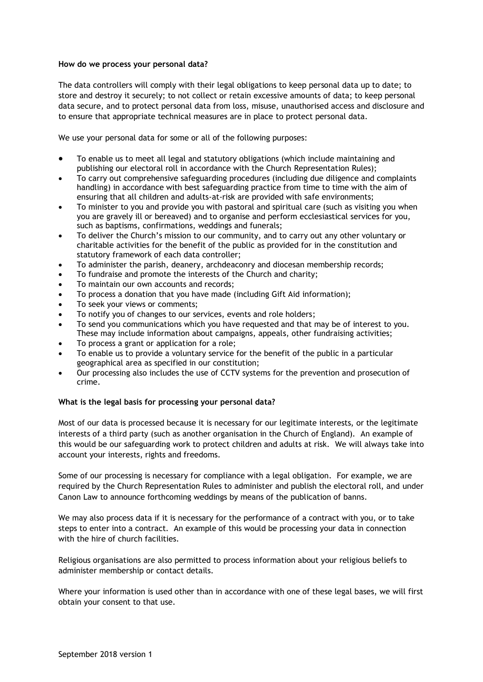## **How do we process your personal data?**

The data controllers will comply with their legal obligations to keep personal data up to date; to store and destroy it securely; to not collect or retain excessive amounts of data; to keep personal data secure, and to protect personal data from loss, misuse, unauthorised access and disclosure and to ensure that appropriate technical measures are in place to protect personal data.

We use your personal data for some or all of the following purposes:

- To enable us to meet all legal and statutory obligations (which include maintaining and publishing our electoral roll in accordance with the Church Representation Rules);
- To carry out comprehensive safeguarding procedures (including due diligence and complaints handling) in accordance with best safeguarding practice from time to time with the aim of ensuring that all children and adults-at-risk are provided with safe environments;
- To minister to you and provide you with pastoral and spiritual care (such as visiting you when you are gravely ill or bereaved) and to organise and perform ecclesiastical services for you, such as baptisms, confirmations, weddings and funerals;
- To deliver the Church's mission to our community, and to carry out any other voluntary or charitable activities for the benefit of the public as provided for in the constitution and statutory framework of each data controller;
- To administer the parish, deanery, archdeaconry and diocesan membership records;
- To fundraise and promote the interests of the Church and charity;
- To maintain our own accounts and records;
- To process a donation that you have made (including Gift Aid information);
- To seek your views or comments;
- To notify you of changes to our services, events and role holders;
- To send you communications which you have requested and that may be of interest to you. These may include information about campaigns, appeals, other fundraising activities;
- To process a grant or application for a role;
- To enable us to provide a voluntary service for the benefit of the public in a particular geographical area as specified in our constitution;
- Our processing also includes the use of CCTV systems for the prevention and prosecution of crime.

# **What is the legal basis for processing your personal data?**

Most of our data is processed because it is necessary for our legitimate interests, or the legitimate interests of a third party (such as another organisation in the Church of England). An example of this would be our safeguarding work to protect children and adults at risk. We will always take into account your interests, rights and freedoms.

Some of our processing is necessary for compliance with a legal obligation. For example, we are required by the Church Representation Rules to administer and publish the electoral roll, and under Canon Law to announce forthcoming weddings by means of the publication of banns.

We may also process data if it is necessary for the performance of a contract with you, or to take steps to enter into a contract. An example of this would be processing your data in connection with the hire of church facilities.

Religious organisations are also permitted to process information about your religious beliefs to administer membership or contact details.

Where your information is used other than in accordance with one of these legal bases, we will first obtain your consent to that use.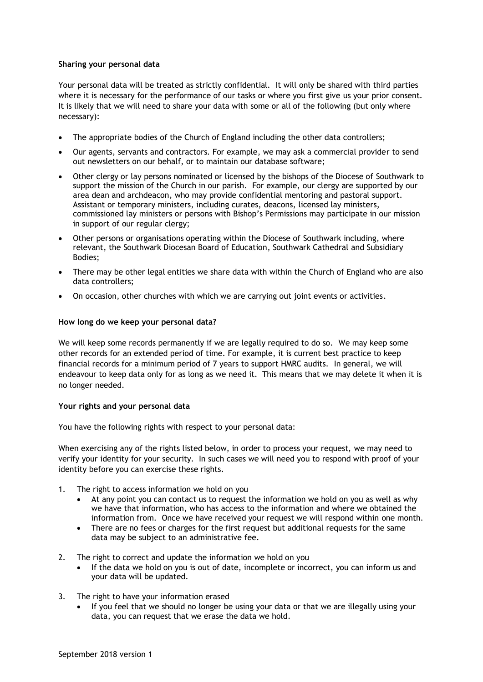## **Sharing your personal data**

Your personal data will be treated as strictly confidential. It will only be shared with third parties where it is necessary for the performance of our tasks or where you first give us your prior consent. It is likely that we will need to share your data with some or all of the following (but only where necessary):

- The appropriate bodies of the Church of England including the other data controllers;
- Our agents, servants and contractors. For example, we may ask a commercial provider to send out newsletters on our behalf, or to maintain our database software;
- Other clergy or lay persons nominated or licensed by the bishops of the Diocese of Southwark to support the mission of the Church in our parish. For example, our clergy are supported by our area dean and archdeacon, who may provide confidential mentoring and pastoral support. Assistant or temporary ministers, including curates, deacons, licensed lay ministers, commissioned lay ministers or persons with Bishop's Permissions may participate in our mission in support of our regular clergy;
- Other persons or organisations operating within the Diocese of Southwark including, where relevant, the Southwark Diocesan Board of Education, Southwark Cathedral and Subsidiary Bodies;
- There may be other legal entities we share data with within the Church of England who are also data controllers;
- On occasion, other churches with which we are carrying out joint events or activities.

## **How long do we keep your personal data?**

We will keep some records permanently if we are legally required to do so. We may keep some other records for an extended period of time. For example, it is current best practice to keep financial records for a minimum period of 7 years to support HMRC audits. In general, we will endeavour to keep data only for as long as we need it. This means that we may delete it when it is no longer needed.

# **Your rights and your personal data**

You have the following rights with respect to your personal data:

When exercising any of the rights listed below, in order to process your request, we may need to verify your identity for your security. In such cases we will need you to respond with proof of your identity before you can exercise these rights.

- 1. The right to access information we hold on you
	- At any point you can contact us to request the information we hold on you as well as why we have that information, who has access to the information and where we obtained the information from. Once we have received your request we will respond within one month.
	- There are no fees or charges for the first request but additional requests for the same data may be subject to an administrative fee.
- 2. The right to correct and update the information we hold on you
	- If the data we hold on you is out of date, incomplete or incorrect, you can inform us and your data will be updated.
- 3. The right to have your information erased
	- If you feel that we should no longer be using your data or that we are illegally using your data, you can request that we erase the data we hold.